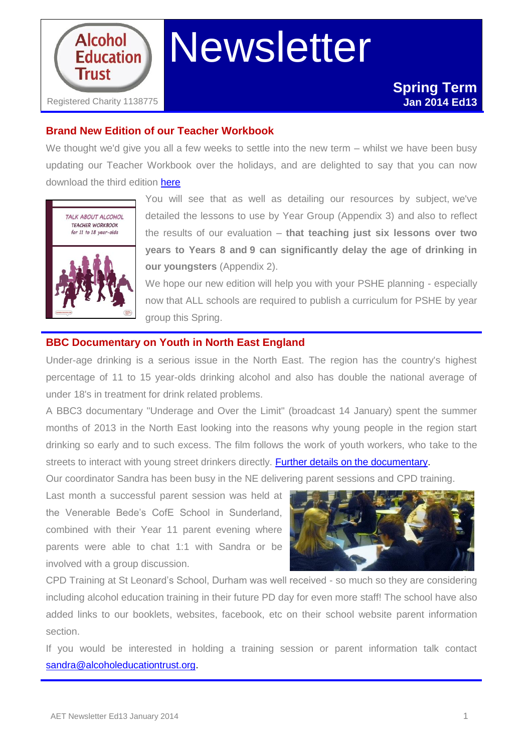

# **Newsletter**

## **Brand New Edition of our Teacher Workbook**

We thought we'd give you all a few weeks to settle into the new term – whilst we have been busy updating our Teacher Workbook over the holidays, and are delighted to say that you can now download the third edition [here](http://www.alcoholeducationtrust.org/Pages/workbookdl.html)



You will see that as well as detailing our resources by subject, we've detailed the lessons to use by Year Group (Appendix 3) and also to reflect the results of our evaluation – **that teaching just six lessons over two years to Years 8 and 9 can significantly delay the age of drinking in our youngsters** (Appendix 2).

We hope our new edition will help you with your PSHE planning - especially now that ALL schools are required to publish a curriculum for PSHE by year group this Spring.

## **BBC Documentary on Youth in North East England**

Under-age drinking is a serious issue in the North East. The region has the country's highest percentage of 11 to 15 year-olds drinking alcohol and also has double the national average of under 18's in treatment for drink related problems.

A BBC3 documentary "Underage and Over the Limit" (broadcast 14 January) spent the summer months of 2013 in the North East looking into the reasons why young people in the region start drinking so early and to such excess. The film follows the work of youth workers, who take to the streets to interact with young street drinkers directly. **Further details on the documentary**.

Our coordinator Sandra has been busy in the NE delivering parent sessions and CPD training.

Last month a successful parent session was held at the Venerable Bede's CofE School in Sunderland, combined with their Year 11 parent evening where parents were able to chat 1:1 with Sandra or be involved with a group discussion.



CPD Training at St Leonard's School, Durham was well received - so much so they are considering including alcohol education training in their future PD day for even more staff! The school have also added links to our booklets, websites, facebook, etc on their school website parent information section.

If you would be interested in holding a training session or parent information talk contact [sandra@alcoholeducationtrust.org.](mailto:sandra@alcoholeducationtrust.org)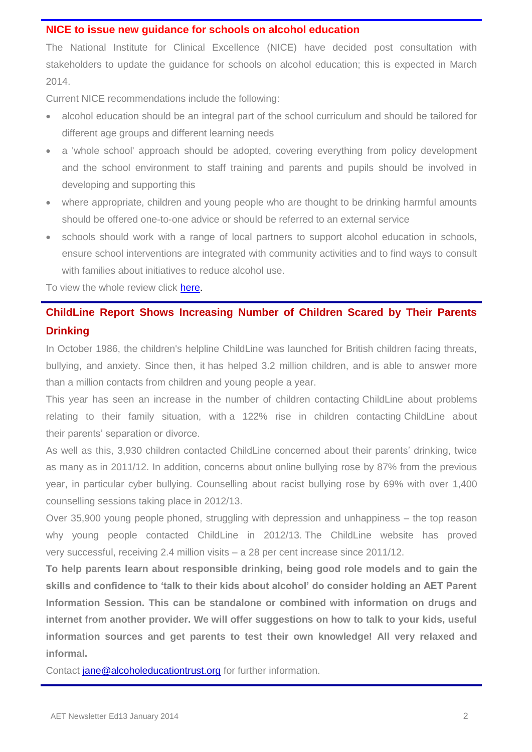#### **NICE to issue new guidance for schools on alcohol education**

The National Institute for Clinical Excellence (NICE) have decided post consultation with stakeholders to update the guidance for schools on alcohol education; this is expected in March 2014.

Current NICE recommendations include the following:

- alcohol education should be an integral part of the school curriculum and should be tailored for different age groups and different learning needs
- a 'whole school' approach should be adopted, covering everything from policy development and the school environment to staff training and parents and pupils should be involved in developing and supporting this
- where appropriate, children and young people who are thought to be drinking harmful amounts should be offered one-to-one advice or should be referred to an external service
- schools should work with a range of local partners to support alcohol education in schools, ensure school interventions are integrated with community activities and to find ways to consult with families about initiatives to reduce alcohol use.

To view the whole review click [here.](http://guidance.nice.org.uk/PH7/ReviewDecision/pdf/English)

# **ChildLine Report Shows Increasing Number of Children Scared by Their Parents Drinking**

In October 1986, the children's helpline ChildLine was launched for British children facing threats, bullying, and anxiety. Since then, it has helped 3.2 million children, and is able to answer more than a million contacts from children and young people a year.

This year has seen an increase in the number of children contacting ChildLine about problems relating to their family situation, with a 122% rise in children contacting ChildLine about their parents' separation or divorce.

As well as this, 3,930 children contacted ChildLine concerned about their parents' drinking, twice as many as in 2011/12. In addition, concerns about online bullying rose by 87% from the previous year, in particular cyber bullying. Counselling about racist bullying rose by 69% with over 1,400 counselling sessions taking place in 2012/13.

Over 35,900 young people phoned, struggling with depression and unhappiness – the top reason why young people contacted ChildLine in 2012/13. The ChildLine website has proved very successful, receiving 2.4 million visits – a 28 per cent increase since 2011/12.

**To help parents learn about responsible drinking, being good role models and to gain the skills and confidence to 'talk to their kids about alcohol' do consider holding an AET Parent Information Session. This can be standalone or combined with information on drugs and internet from another provider. We will offer suggestions on how to talk to your kids, useful information sources and get parents to test their own knowledge! All very relaxed and informal.** 

Contact [jane@alcoholeducationtrust.org](mailto:jane@alcoholeducationtrust.org) for further information.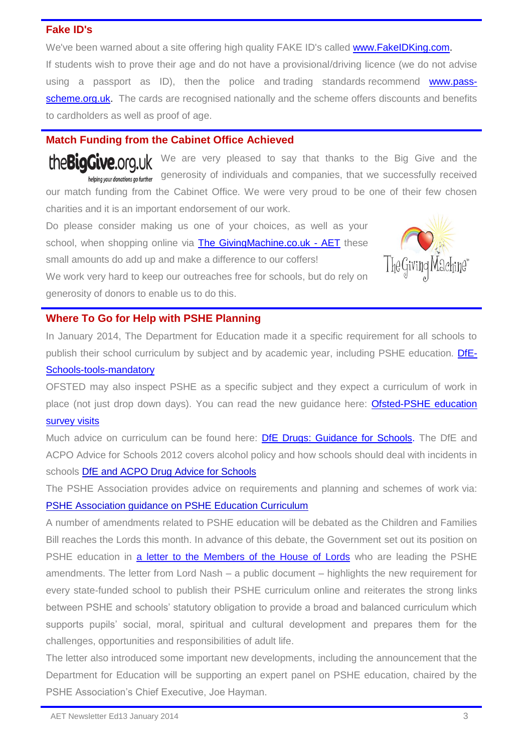## **Fake ID's**

We've been warned about a site offering high quality FAKE ID's called [www.FakeIDKing.com.](http://fakeidking.com/) If students wish to prove their age and do not have a provisional/driving licence (we do not advise using a passport as ID), then the police and trading standards recommend [www.pass](http://www.pass-scheme.org.uk/)[scheme.org.uk.](http://www.pass-scheme.org.uk/) The cards are recognised nationally and the scheme offers discounts and benefits to cardholders as well as proof of age.

## **Match Funding from the Cabinet Office Achieved**

the Big Give org.uk We are very pleased to say that thanks to the Big Give and the helping your donations go further generosity of individuals and companies, that we successfully received our match funding from the Cabinet Office. We were very proud to be one of their few chosen charities and it is an important endorsement of our work.

Do please consider making us one of your choices, as well as your school, when shopping online via [The GivingMachine.co.uk -](http://www.thegivingmachine.co.uk/create_profile_combined.php?ben_id=62290&action=add&outgoing) AET these small amounts do add up and make a difference to our coffers! We work very hard to keep our outreaches free for schools, but do rely on

generosity of donors to enable us to do this.



In January 2014, The Department for Education made it a specific requirement for all schools to publish their school curriculum by subject and by academic year, including PSHE education. [DfE-](http://www.education.gov.uk/schools/toolsandinitiatives/cuttingburdens/b00216133/need-to-know-schools/mandatory)

### [Schools-tools-mandatory](http://www.education.gov.uk/schools/toolsandinitiatives/cuttingburdens/b00216133/need-to-know-schools/mandatory)

OFSTED may also inspect PSHE as a specific subject and they expect a curriculum of work in place (not just drop down days). You can read the new guidance here: Ofsted-PSHE education [survey visits](http://www.alcoholeducationtrust.org/pdfs/ofstedPSHE.pdf)

Much advice on curriculum can be found here: [DfE Drugs: Guidance for Schools.](http://www.alcoholeducationtrust.org/pdfs/DfES2004.pdf) The DfE and ACPO Advice for Schools 2012 covers alcohol policy and how schools should deal with incidents in schools [DfE and ACPO Drug Advice for Schools](http://www.alcoholeducationtrust.org/pdfs/DfeACPOadvice.pdf)

The PSHE Association provides advice on requirements and planning and schemes of work via: [PSHE Association guidance on PSHE Education Curriculum](http://www.pshe-association.org.uk/uploads/media/27/7782.pdf)

A number of amendments related to PSHE education will be debated as the Children and Families Bill reaches the Lords this month. In advance of this debate, the Government set out its position on PSHE education in [a letter to the Members of the House of Lords](http://dmtrk.net/HSS-2521L-3W0E60-WB2BU-1/c.aspx) who are leading the PSHE amendments. The letter from Lord Nash – a public document – highlights the new requirement for every state-funded school to publish their PSHE curriculum online and reiterates the strong links between PSHE and schools' statutory obligation to provide a broad and balanced curriculum which supports pupils' social, moral, spiritual and cultural development and prepares them for the challenges, opportunities and responsibilities of adult life.

The letter also introduced some important new developments, including the announcement that the Department for Education will be supporting an expert panel on PSHE education, chaired by the PSHE Association's Chief Executive, Joe Hayman.

Ma*c*hine"